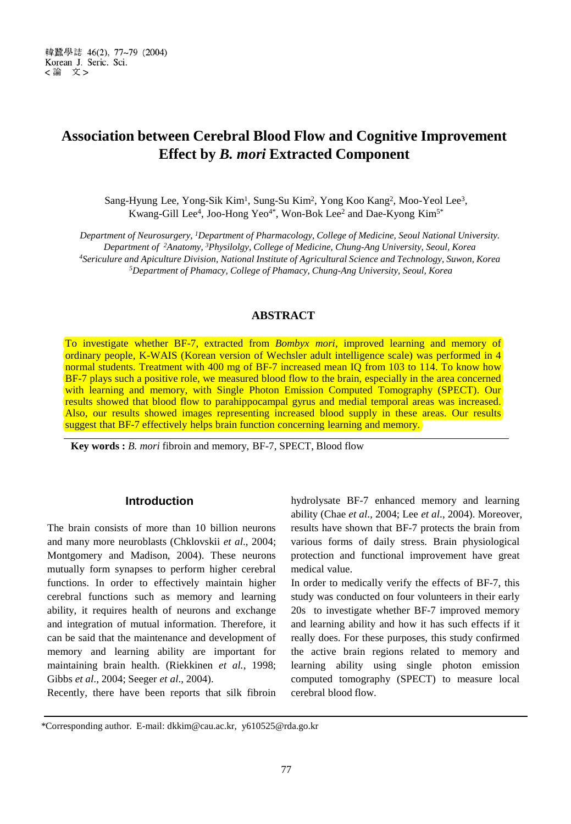# **Association between Cerebral Blood Flow and Cognitive Improvement Effect by** *B. mori* **Extracted Component**

Sang-Hyung Lee, Yong-Sik Kim<sup>1</sup>, Sung-Su Kim<sup>2</sup>, Yong Koo Kang<sup>2</sup>, Moo-Yeol Lee<sup>3</sup>, Kwang-Gill Lee<sup>4</sup>, Joo-Hong Yeo<sup>4\*</sup>, Won-Bok Lee<sup>2</sup> and Dae-Kyong Kim<sup>5\*</sup>

*Department of Neurosurgery, 1Department of Pharmacology, College of Medicine, Seoul National University. Department of 2Anatomy, 3Physilolgy, College of Medicine, Chung-Ang University, Seoul, Korea 4Sericulure and Apiculture Division, National Institute of Agricultural Science and Technology, Suwon, Korea 5Department of Phamacy, College of Phamacy, Chung-Ang University, Seoul, Korea*

# **ABSTRACT**

To investigate whether BF-7, extracted from *Bombyx mori*, improved learning and memory of ordinary people, K-WAIS (Korean version of Wechsler adult intelligence scale) was performed in 4 normal students. Treatment with 400 mg of BF-7 increased mean IQ from 103 to 114. To know how BF-7 plays such a positive role, we measured blood flow to the brain, especially in the area concerned with learning and memory, with Single Photon Emission Computed Tomography (SPECT). Our results showed that blood flow to parahippocampal gyrus and medial temporal areas was increased. Also, our results showed images representing increased blood supply in these areas. Our results suggest that BF-7 effectively helps brain function concerning learning and memory.

**Key words :** *B. mori* fibroin and memory, BF-7, SPECT, Blood flow

## **Introduction**

The brain consists of more than 10 billion neurons and many more neuroblasts (Chklovskii *et al*., 2004; Montgomery and Madison, 2004). These neurons mutually form synapses to perform higher cerebral functions. In order to effectively maintain higher cerebral functions such as memory and learning ability, it requires health of neurons and exchange and integration of mutual information. Therefore, it can be said that the maintenance and development of memory and learning ability are important for maintaining brain health. (Riekkinen *et al.*, 1998; Gibbs *et al*., 2004; Seeger *et al*., 2004).

Recently, there have been reports that silk fibroin

hydrolysate BF-7 enhanced memory and learning ability (Chae *et al*., 2004; Lee *et al*., 2004). Moreover, results have shown that BF-7 protects the brain from various forms of daily stress. Brain physiological protection and functional improvement have great medical value.

In order to medically verify the effects of BF-7, this study was conducted on four volunteers in their early 20s to investigate whether BF-7 improved memory and learning ability and how it has such effects if it really does. For these purposes, this study confirmed the active brain regions related to memory and learning ability using single photon emission computed tomography (SPECT) to measure local cerebral blood flow.

\*Corresponding author. E-mail: dkkim@cau.ac.kr, y610525@rda.go.kr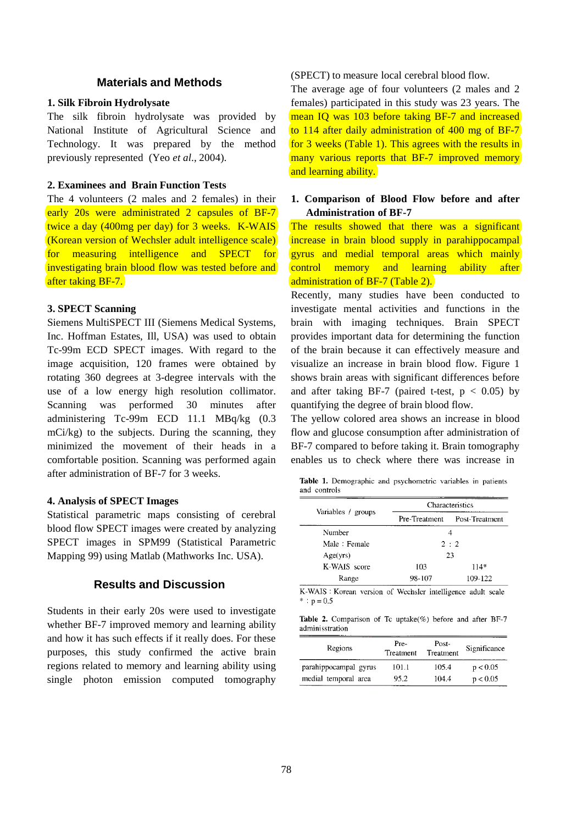# **Materials and Methods**

## **1. Silk Fibroin Hydrolysate**

The silk fibroin hydrolysate was provided by National Institute of Agricultural Science and Technology. It was prepared by the method previously represented (Yeo *et al*., 2004).

## **2. Examinees and Brain Function Tests**

The 4 volunteers (2 males and 2 females) in their early 20s were administrated 2 capsules of BF-7 twice a day (400mg per day) for 3 weeks. K-WAIS (Korean version of Wechsler adult intelligence scale) for measuring intelligence and SPECT for investigating brain blood flow was tested before and after taking BF-7.

# **3. SPECT Scanning**

Siemens MultiSPECT III (Siemens Medical Systems, Inc. Hoffman Estates, Ill, USA) was used to obtain Tc-99m ECD SPECT images. With regard to the image acquisition, 120 frames were obtained by rotating 360 degrees at 3-degree intervals with the use of a low energy high resolution collimator. Scanning was performed 30 minutes after administering Tc-99m ECD 11.1 MBq/kg (0.3 mCi/kg) to the subjects. During the scanning, they minimized the movement of their heads in a comfortable position. Scanning was performed again after administration of BF-7 for 3 weeks.

#### **4. Analysis of SPECT Images**

Statistical parametric maps consisting of cerebral blood flow SPECT images were created by analyzing SPECT images in SPM99 (Statistical Parametric Mapping 99) using Matlab (Mathworks Inc. USA).

# **Results and Discussion**

Students in their early 20s were used to investigate whether BF-7 improved memory and learning ability and how it has such effects if it really does. For these purposes, this study confirmed the active brain regions related to memory and learning ability using single photon emission computed tomography

#### (SPECT) to measure local cerebral blood flow.

The average age of four volunteers (2 males and 2 females) participated in this study was 23 years. The mean IQ was 103 before taking BF-7 and increased to 114 after daily administration of 400 mg of BF-7 for 3 weeks (Table 1). This agrees with the results in many various reports that BF-7 improved memory and learning ability.

## **1. Comparison of Blood Flow before and after Administration of BF-7**

The results showed that there was a significant increase in brain blood supply in parahippocampal gyrus and medial temporal areas which mainly control memory and learning ability after administration of BF-7 (Table 2).

Recently, many studies have been conducted to investigate mental activities and functions in the brain with imaging techniques. Brain SPECT provides important data for determining the function of the brain because it can effectively measure and visualize an increase in brain blood flow. Figure 1 shows brain areas with significant differences before and after taking BF-7 (paired t-test,  $p < 0.05$ ) by quantifying the degree of brain blood flow.

The yellow colored area shows an increase in blood flow and glucose consumption after administration of BF-7 compared to before taking it. Brain tomography enables us to check where there was increase in

Table 1. Demographic and psychometric variables in patients and controls

| Variables / groups | Characteristics |                |  |
|--------------------|-----------------|----------------|--|
|                    | Pre-Treatment   | Post-Treatment |  |
| Number             | 4               |                |  |
| Male: Female       | 2:2             |                |  |
| Age(vrs)           | 23              |                |  |
| K-WAIS score       | 103             | 114*           |  |
| Range              | 98-107          | 109-122        |  |

K-WAIS : Korean version of Wechsler intelligence adult scale \*:  $p = 0.5$ 

Table 2. Comparison of Tc uptake(%) before and after BF-7 adminisstration

| Regions               | Pre-<br>Treatment | Post-<br>Treatment | Significance |
|-----------------------|-------------------|--------------------|--------------|
| parahippocampal gyrus | 101.1             | 105.4              | p < 0.05     |
| medial temporal area  | 95.2              | 104.4              | p < 0.05     |